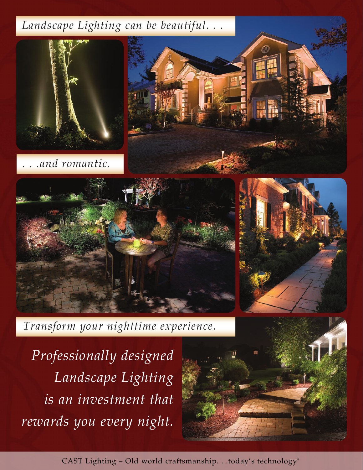# *Landscape Lighting can be beautiful. . .*



*. . .and romantic.*







*Transform your nighttime experience.*

*Professionally designed Landscape Lighting is an investment that rewards you every night.* 



CAST Lighting - Old world craftsmanship. . .today's technology®